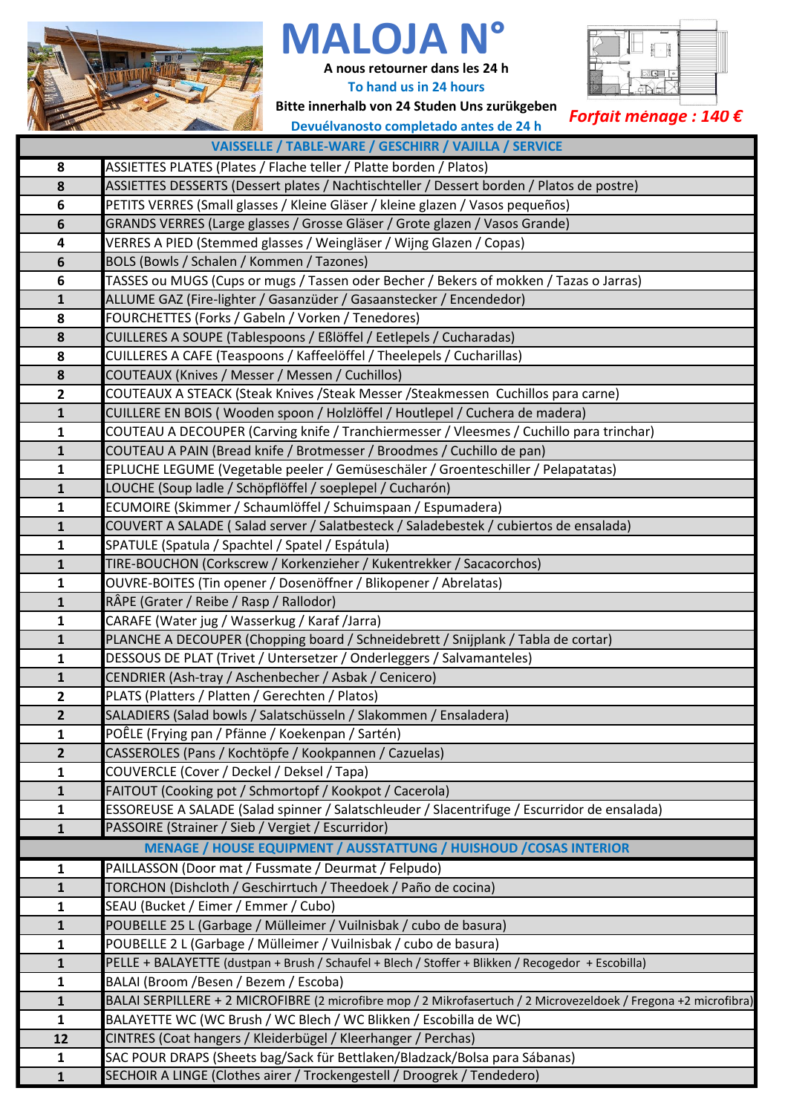

## **MALOJA N°**

**A nous retourner dans les 24 h To hand us in 24 hours**



**Bitte innerhalb von 24 Studen Uns zurükgeben Devuélvanosto completado antes de 24 h**

## *Forfait ménage : 140 €*

| VAISSELLE / TABLE-WARE / GESCHIRR / VAJILLA / SERVICE |                                                                                                                  |  |  |  |  |
|-------------------------------------------------------|------------------------------------------------------------------------------------------------------------------|--|--|--|--|
| 8                                                     | ASSIETTES PLATES (Plates / Flache teller / Platte borden / Platos)                                               |  |  |  |  |
| 8                                                     | ASSIETTES DESSERTS (Dessert plates / Nachtischteller / Dessert borden / Platos de postre)                        |  |  |  |  |
| 6                                                     | PETITS VERRES (Small glasses / Kleine Gläser / kleine glazen / Vasos pequeños)                                   |  |  |  |  |
| 6                                                     | GRANDS VERRES (Large glasses / Grosse Gläser / Grote glazen / Vasos Grande)                                      |  |  |  |  |
| 4                                                     | VERRES A PIED (Stemmed glasses / Weingläser / Wijng Glazen / Copas)                                              |  |  |  |  |
| $\boldsymbol{6}$                                      | BOLS (Bowls / Schalen / Kommen / Tazones)                                                                        |  |  |  |  |
| $\bf 6$                                               | TASSES ou MUGS (Cups or mugs / Tassen oder Becher / Bekers of mokken / Tazas o Jarras)                           |  |  |  |  |
| $\mathbf{1}$                                          | ALLUME GAZ (Fire-lighter / Gasanzüder / Gasaanstecker / Encendedor)                                              |  |  |  |  |
| 8                                                     | FOURCHETTES (Forks / Gabeln / Vorken / Tenedores)                                                                |  |  |  |  |
| $\pmb{8}$                                             | CUILLERES A SOUPE (Tablespoons / Eßlöffel / Eetlepels / Cucharadas)                                              |  |  |  |  |
| 8                                                     | CUILLERES A CAFE (Teaspoons / Kaffeelöffel / Theelepels / Cucharillas)                                           |  |  |  |  |
| 8                                                     | COUTEAUX (Knives / Messer / Messen / Cuchillos)                                                                  |  |  |  |  |
| $\mathbf{2}$                                          | COUTEAUX A STEACK (Steak Knives /Steak Messer /Steakmessen Cuchillos para carne)                                 |  |  |  |  |
| $\mathbf{1}$                                          | CUILLERE EN BOIS (Wooden spoon / Holzlöffel / Houtlepel / Cuchera de madera)                                     |  |  |  |  |
| $\mathbf 1$                                           | COUTEAU A DECOUPER (Carving knife / Tranchiermesser / Vleesmes / Cuchillo para trinchar)                         |  |  |  |  |
| $\mathbf{1}$                                          | COUTEAU A PAIN (Bread knife / Brotmesser / Broodmes / Cuchillo de pan)                                           |  |  |  |  |
| $\mathbf{1}$                                          | EPLUCHE LEGUME (Vegetable peeler / Gemüseschäler / Groenteschiller / Pelapatatas)                                |  |  |  |  |
| $\mathbf{1}$                                          | LOUCHE (Soup ladle / Schöpflöffel / soeplepel / Cucharón)                                                        |  |  |  |  |
| $\mathbf{1}$                                          | ECUMOIRE (Skimmer / Schaumlöffel / Schuimspaan / Espumadera)                                                     |  |  |  |  |
| $\mathbf{1}$                                          | COUVERT A SALADE (Salad server / Salatbesteck / Saladebestek / cubiertos de ensalada)                            |  |  |  |  |
| $\mathbf{1}$                                          | SPATULE (Spatula / Spachtel / Spatel / Espátula)                                                                 |  |  |  |  |
| $\mathbf{1}$                                          | TIRE-BOUCHON (Corkscrew / Korkenzieher / Kukentrekker / Sacacorchos)                                             |  |  |  |  |
| $\mathbf 1$                                           | OUVRE-BOITES (Tin opener / Dosenöffner / Blikopener / Abrelatas)                                                 |  |  |  |  |
| $\mathbf 1$                                           | RÂPE (Grater / Reibe / Rasp / Rallodor)                                                                          |  |  |  |  |
| $\mathbf{1}$                                          | CARAFE (Water jug / Wasserkug / Karaf /Jarra)                                                                    |  |  |  |  |
| $\mathbf{1}$                                          | PLANCHE A DECOUPER (Chopping board / Schneidebrett / Snijplank / Tabla de cortar)                                |  |  |  |  |
| $\mathbf{1}$                                          | DESSOUS DE PLAT (Trivet / Untersetzer / Onderleggers / Salvamanteles)                                            |  |  |  |  |
| $\mathbf 1$                                           | CENDRIER (Ash-tray / Aschenbecher / Asbak / Cenicero)                                                            |  |  |  |  |
| $\overline{\mathbf{2}}$                               | PLATS (Platters / Platten / Gerechten / Platos)                                                                  |  |  |  |  |
| $\overline{2}$                                        | SALADIERS (Salad bowls / Salatschüsseln / Slakommen / Ensaladera)                                                |  |  |  |  |
| 1                                                     | POÊLE (Frying pan / Pfänne / Koekenpan / Sartén)                                                                 |  |  |  |  |
| $\overline{2}$                                        | CASSEROLES (Pans / Kochtöpfe / Kookpannen / Cazuelas)                                                            |  |  |  |  |
| $\mathbf{1}$                                          | COUVERCLE (Cover / Deckel / Deksel / Tapa)                                                                       |  |  |  |  |
| $\mathbf{1}$                                          | FAITOUT (Cooking pot / Schmortopf / Kookpot / Cacerola)                                                          |  |  |  |  |
| $\mathbf{1}$                                          | ESSOREUSE A SALADE (Salad spinner / Salatschleuder / Slacentrifuge / Escurridor de ensalada)                     |  |  |  |  |
| $\mathbf{1}$                                          | PASSOIRE (Strainer / Sieb / Vergiet / Escurridor)                                                                |  |  |  |  |
|                                                       | MENAGE / HOUSE EQUIPMENT / AUSSTATTUNG / HUISHOUD / COSAS INTERIOR                                               |  |  |  |  |
| $\mathbf 1$                                           | PAILLASSON (Door mat / Fussmate / Deurmat / Felpudo)                                                             |  |  |  |  |
| $\mathbf{1}$                                          | TORCHON (Dishcloth / Geschirrtuch / Theedoek / Paño de cocina)                                                   |  |  |  |  |
| $\mathbf{1}$                                          | SEAU (Bucket / Eimer / Emmer / Cubo)                                                                             |  |  |  |  |
| $\mathbf{1}$                                          | POUBELLE 25 L (Garbage / Mülleimer / Vuilnisbak / cubo de basura)                                                |  |  |  |  |
| $\mathbf{1}$                                          | POUBELLE 2 L (Garbage / Mülleimer / Vuilnisbak / cubo de basura)                                                 |  |  |  |  |
| $\mathbf 1$                                           | PELLE + BALAYETTE (dustpan + Brush / Schaufel + Blech / Stoffer + Blikken / Recogedor + Escobilla)               |  |  |  |  |
| $\mathbf{1}$                                          | BALAI (Broom /Besen / Bezem / Escoba)                                                                            |  |  |  |  |
| $\mathbf{1}$                                          | BALAI SERPILLERE + 2 MICROFIBRE (2 microfibre mop / 2 Mikrofasertuch / 2 Microvezeldoek / Fregona +2 microfibra) |  |  |  |  |
| $\mathbf{1}$                                          | BALAYETTE WC (WC Brush / WC Blech / WC Blikken / Escobilla de WC)                                                |  |  |  |  |
| 12                                                    | CINTRES (Coat hangers / Kleiderbügel / Kleerhanger / Perchas)                                                    |  |  |  |  |
| $\mathbf{1}$                                          | SAC POUR DRAPS (Sheets bag/Sack für Bettlaken/Bladzack/Bolsa para Sábanas)                                       |  |  |  |  |
| $\mathbf{1}$                                          | SECHOIR A LINGE (Clothes airer / Trockengestell / Droogrek / Tendedero)                                          |  |  |  |  |